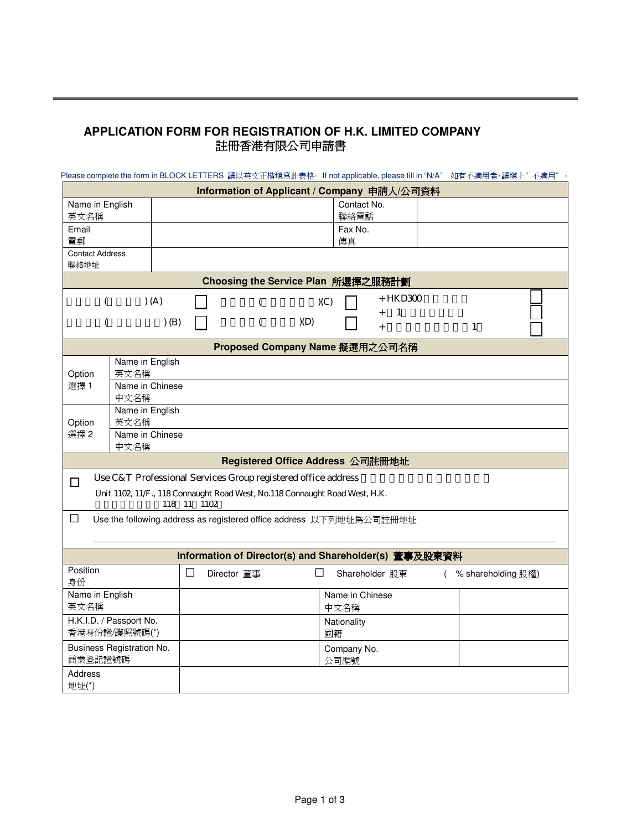## **APPLICATION FORM FOR REGISTRATION OF H.K. LIMITED COMPANY**  註冊香港有限公司申請書

| Please complete the form in BLOCK LETTERS 請以英文正楷填寫此表格。If not applicable, please fill in "N/A" 如有不適用者,請填上"不適用"。 |                                                                              |   |                                            |     |                 |                        |  |                    |  |
|----------------------------------------------------------------------------------------------------------------|------------------------------------------------------------------------------|---|--------------------------------------------|-----|-----------------|------------------------|--|--------------------|--|
|                                                                                                                |                                                                              |   | Information of Applicant / Company 申請人公司資料 |     |                 |                        |  |                    |  |
| Name in English                                                                                                |                                                                              |   |                                            |     | Contact No.     |                        |  |                    |  |
| 英文名稱                                                                                                           |                                                                              |   |                                            |     | 聯絡電話            |                        |  |                    |  |
| Email                                                                                                          |                                                                              |   |                                            |     | Fax No.         |                        |  |                    |  |
| 電郵<br><b>Contact Address</b>                                                                                   |                                                                              |   |                                            |     | 傳真              |                        |  |                    |  |
| 聯絡地址                                                                                                           |                                                                              |   |                                            |     |                 |                        |  |                    |  |
| Choosing the Service Plan 所選擇之服務計劃                                                                             |                                                                              |   |                                            |     |                 |                        |  |                    |  |
| + HKD300<br>(C)                                                                                                |                                                                              |   |                                            |     |                 |                        |  |                    |  |
|                                                                                                                | (A)                                                                          |   |                                            |     |                 | $\mathbf{1}$<br>$^{+}$ |  |                    |  |
|                                                                                                                | (B)                                                                          |   |                                            | (D) |                 | $\ddot{}$              |  | $\mathbf{1}$       |  |
|                                                                                                                |                                                                              |   | Proposed Company Name 擬選用之公司名稱             |     |                 |                        |  |                    |  |
|                                                                                                                | Name in English                                                              |   |                                            |     |                 |                        |  |                    |  |
| Option                                                                                                         | 英文名稱                                                                         |   |                                            |     |                 |                        |  |                    |  |
| 選擇1                                                                                                            | Name in Chinese<br>中文名稱                                                      |   |                                            |     |                 |                        |  |                    |  |
|                                                                                                                | Name in English                                                              |   |                                            |     |                 |                        |  |                    |  |
| Option                                                                                                         | 英文名稱                                                                         |   |                                            |     |                 |                        |  |                    |  |
| 選擇2                                                                                                            | Name in Chinese                                                              |   |                                            |     |                 |                        |  |                    |  |
|                                                                                                                | 中文名稱                                                                         |   |                                            |     |                 |                        |  |                    |  |
| Registered Office Address 公司註冊地址                                                                               |                                                                              |   |                                            |     |                 |                        |  |                    |  |
| $\Box$                                                                                                         | Use C&T Professional Services Group registered office address                |   |                                            |     |                 |                        |  |                    |  |
|                                                                                                                | Unit 1102, 11/F., 118 Connaught Road West, No. 118 Connaught Road West, H.K. |   |                                            |     |                 |                        |  |                    |  |
| 118 11 1102                                                                                                    |                                                                              |   |                                            |     |                 |                        |  |                    |  |
| $\Box$<br>Use the following address as registered office address 以下列地址為公司註冊地址                                  |                                                                              |   |                                            |     |                 |                        |  |                    |  |
|                                                                                                                |                                                                              |   |                                            |     |                 |                        |  |                    |  |
| Information of Director(s) and Shareholder(s) 董事及股東資料                                                          |                                                                              |   |                                            |     |                 |                        |  |                    |  |
| Position<br>身份                                                                                                 |                                                                              | ப | Director 董事                                | ⊔   |                 | Shareholder 股東         |  | % shareholding 股權) |  |
| Name in English                                                                                                |                                                                              |   |                                            |     | Name in Chinese |                        |  |                    |  |
| 英文名稱                                                                                                           |                                                                              |   |                                            |     | 中文名稱            |                        |  |                    |  |
| H.K.I.D. / Passport No.                                                                                        |                                                                              |   |                                            |     | Nationality     |                        |  |                    |  |
| 香港身份證/護照號碼(*)                                                                                                  |                                                                              |   |                                            |     | 國籍              |                        |  |                    |  |
| Business Registration No.                                                                                      |                                                                              |   |                                            |     | Company No.     |                        |  |                    |  |
| 商業登記證號碼                                                                                                        |                                                                              |   |                                            |     | 公司編號            |                        |  |                    |  |
| Address<br>地址(*)                                                                                               |                                                                              |   |                                            |     |                 |                        |  |                    |  |
|                                                                                                                |                                                                              |   |                                            |     |                 |                        |  |                    |  |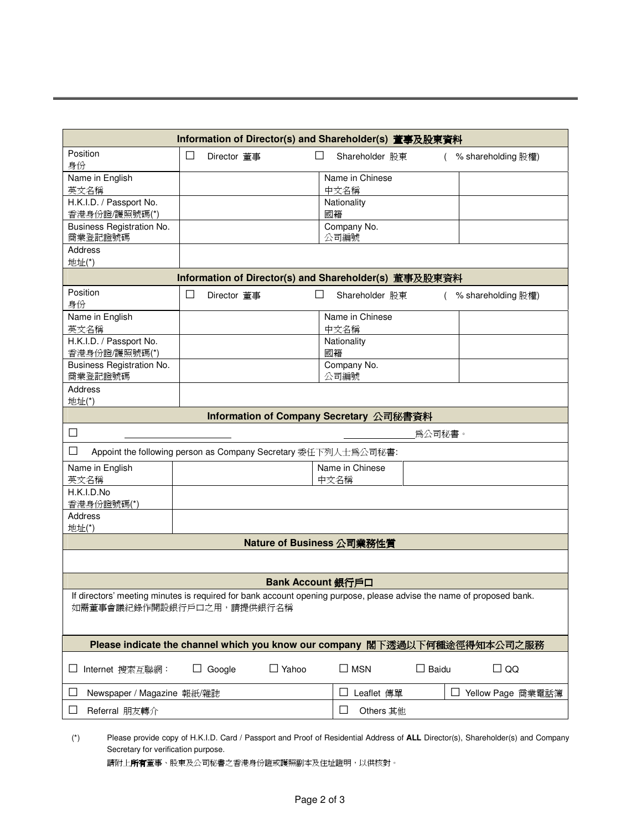|                                                                                                   |                                                                                                                      | Information of Director(s) and Shareholder(s) 董事及股東資料 |                 |        |                      |  |  |
|---------------------------------------------------------------------------------------------------|----------------------------------------------------------------------------------------------------------------------|-------------------------------------------------------|-----------------|--------|----------------------|--|--|
| Position<br>身份                                                                                    | ⊔<br>Director 董事                                                                                                     |                                                       | Shareholder 股東  |        | (% shareholding 股權)  |  |  |
| Name in English                                                                                   |                                                                                                                      |                                                       | Name in Chinese |        |                      |  |  |
| 英文名稱                                                                                              |                                                                                                                      |                                                       | 中文名稱            |        |                      |  |  |
| H.K.I.D. / Passport No.                                                                           |                                                                                                                      |                                                       | Nationality     |        |                      |  |  |
| 香港身份證/護照號碼(*)                                                                                     |                                                                                                                      |                                                       | 國籍              |        |                      |  |  |
| Business Registration No.                                                                         |                                                                                                                      |                                                       | Company No.     |        |                      |  |  |
| 商業登記證號碼                                                                                           |                                                                                                                      |                                                       | 公司編號            |        |                      |  |  |
| Address                                                                                           |                                                                                                                      |                                                       |                 |        |                      |  |  |
| 地址(*)                                                                                             |                                                                                                                      |                                                       |                 |        |                      |  |  |
|                                                                                                   |                                                                                                                      | Information of Director(s) and Shareholder(s) 董事及股東資料 |                 |        |                      |  |  |
| Position<br>身份                                                                                    | ப<br>Director 董事                                                                                                     | ⊔                                                     | Shareholder 股東  |        | ( % shareholding 股權) |  |  |
| Name in English                                                                                   |                                                                                                                      |                                                       | Name in Chinese |        |                      |  |  |
| 英文名稱                                                                                              |                                                                                                                      |                                                       | 中文名稱            |        |                      |  |  |
| H.K.I.D. / Passport No.                                                                           |                                                                                                                      |                                                       | Nationality     |        |                      |  |  |
| 香港身份證/護照號碼(*)                                                                                     |                                                                                                                      |                                                       | 國籍              |        |                      |  |  |
| Business Registration No.                                                                         |                                                                                                                      |                                                       | Company No.     |        |                      |  |  |
| 商業登記證號碼                                                                                           |                                                                                                                      |                                                       | 公司編號            |        |                      |  |  |
| Address                                                                                           |                                                                                                                      |                                                       |                 |        |                      |  |  |
| 地址(*)                                                                                             |                                                                                                                      |                                                       |                 |        |                      |  |  |
|                                                                                                   |                                                                                                                      | Information of Company Secretary 公司秘書資料               |                 |        |                      |  |  |
| $\Box$                                                                                            |                                                                                                                      |                                                       |                 | 爲公司秘書。 |                      |  |  |
| ⊔<br>Appoint the following person as Company Secretary 委任下列人士為公司秘書:                               |                                                                                                                      |                                                       |                 |        |                      |  |  |
| Name in English                                                                                   |                                                                                                                      |                                                       | Name in Chinese |        |                      |  |  |
| 英文名稱                                                                                              |                                                                                                                      |                                                       | 中文名稱            |        |                      |  |  |
| H.K.I.D.No                                                                                        |                                                                                                                      |                                                       |                 |        |                      |  |  |
| 香港身份證號碼(*)                                                                                        |                                                                                                                      |                                                       |                 |        |                      |  |  |
| <b>Address</b>                                                                                    |                                                                                                                      |                                                       |                 |        |                      |  |  |
| 地址(*)                                                                                             |                                                                                                                      |                                                       |                 |        |                      |  |  |
|                                                                                                   |                                                                                                                      | Nature of Business 公司業務性質                             |                 |        |                      |  |  |
|                                                                                                   |                                                                                                                      |                                                       |                 |        |                      |  |  |
| Bank Account 銀行戶口                                                                                 |                                                                                                                      |                                                       |                 |        |                      |  |  |
|                                                                                                   | If directors' meeting minutes is required for bank account opening purpose, please advise the name of proposed bank. |                                                       |                 |        |                      |  |  |
| 如需董事會議紀錄作開設銀行戶口之用,請提供銀行名稱                                                                         |                                                                                                                      |                                                       |                 |        |                      |  |  |
|                                                                                                   |                                                                                                                      |                                                       |                 |        |                      |  |  |
|                                                                                                   |                                                                                                                      |                                                       |                 |        |                      |  |  |
| Please indicate the channel which you know our company 閣下透過以下何種途徑得知本公司之服務                         |                                                                                                                      |                                                       |                 |        |                      |  |  |
| $\Box$ Yahoo<br>$\square$ MSN<br>$\Box$ Baidu<br>$\Box$ QQ<br>Internet 搜索互聯網:<br>Google<br>ш<br>ப |                                                                                                                      |                                                       |                 |        |                      |  |  |
| Newspaper / Magazine 報紙/雜誌<br>□ Yellow Page 商業電話簿<br>⊔<br>Leaflet 傳單<br>$\overline{\phantom{a}}$  |                                                                                                                      |                                                       |                 |        |                      |  |  |
| Referral 朋友轉介<br>$\mathbf{r}$                                                                     | $\Box$<br>Others 其他                                                                                                  |                                                       |                 |        |                      |  |  |
|                                                                                                   |                                                                                                                      |                                                       |                 |        |                      |  |  |

(\*) Please provide copy of H.K.I.D. Card / Passport and Proof of Residential Address of **ALL** Director(s), Shareholder(s) and Company Secretary for verification purpose.

請附上所有董事、股東及公司秘書之香港身份證或護照副本及住址證明,以供核對。